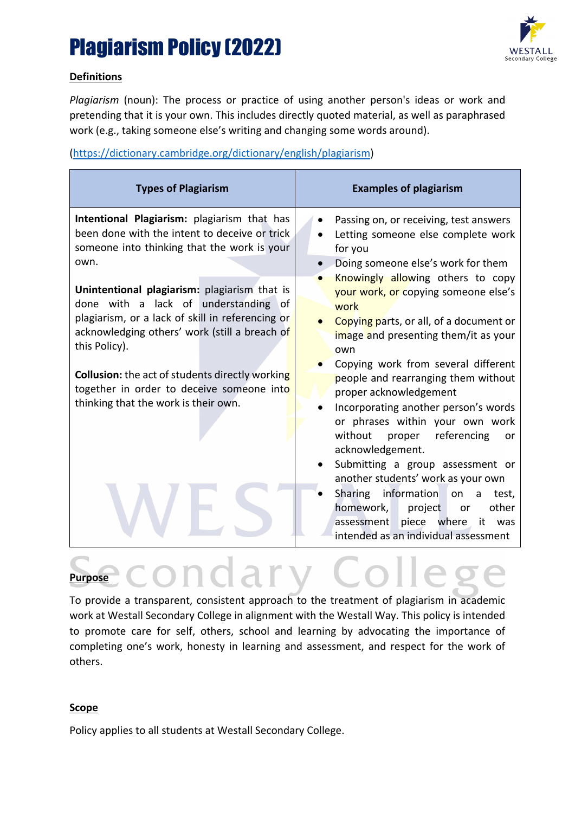

### **Definitions**

*Plagiarism* (noun): The process or practice of using another person's ideas or work and pretending that it is your own. This includes directly quoted material, as well as paraphrased work (e.g., taking someone else's writing and changing some words around).

### [\(https://dictionary.cambridge.org/dictionary/english/plagiarism\)](https://dictionary.cambridge.org/dictionary/english/plagiarism)

| Intentional Plagiarism: plagiarism that has<br>Passing on, or receiving, test answers<br>been done with the intent to deceive or trick<br>Letting someone else complete work<br>someone into thinking that the work is your<br>for you<br>own.<br>Doing someone else's work for them<br>Knowingly allowing others to copy<br>Unintentional plagiarism: plagiarism that is<br>your work, or copying someone else's<br>done with a lack of understanding of<br>work<br>plagiarism, or a lack of skill in referencing or<br>Copying parts, or all, of a document or<br>acknowledging others' work (still a breach of<br>image and presenting them/it as your<br>this Policy).<br>own<br>Copying work from several different<br><b>Collusion:</b> the act of students directly working<br>people and rearranging them without<br>together in order to deceive someone into<br>proper acknowledgement<br>thinking that the work is their own.<br>or phrases within your own work<br>referencing<br>without proper<br>or<br>acknowledgement.<br>Submitting a group assessment or<br>another students' work as your own<br>Sharing information<br>on<br>$\mathsf{a}$<br>test,<br>homework,<br>project<br>other<br><b>or</b><br>assessment piece where<br>it<br>was | <b>Types of Plagiarism</b> | <b>Examples of plagiarism</b>        |  |  |  |  |  |
|-------------------------------------------------------------------------------------------------------------------------------------------------------------------------------------------------------------------------------------------------------------------------------------------------------------------------------------------------------------------------------------------------------------------------------------------------------------------------------------------------------------------------------------------------------------------------------------------------------------------------------------------------------------------------------------------------------------------------------------------------------------------------------------------------------------------------------------------------------------------------------------------------------------------------------------------------------------------------------------------------------------------------------------------------------------------------------------------------------------------------------------------------------------------------------------------------------------------------------------------------------------|----------------------------|--------------------------------------|--|--|--|--|--|
| intended as an individual assessment                                                                                                                                                                                                                                                                                                                                                                                                                                                                                                                                                                                                                                                                                                                                                                                                                                                                                                                                                                                                                                                                                                                                                                                                                        |                            | Incorporating another person's words |  |  |  |  |  |

# **Purpose** CONdary Colles

To provide a transparent, consistent approach to the treatment of plagiarism in academic work at Westall Secondary College in alignment with the Westall Way. This policy is intended to promote care for self, others, school and learning by advocating the importance of completing one's work, honesty in learning and assessment, and respect for the work of others.

### **Scope**

Policy applies to all students at Westall Secondary College.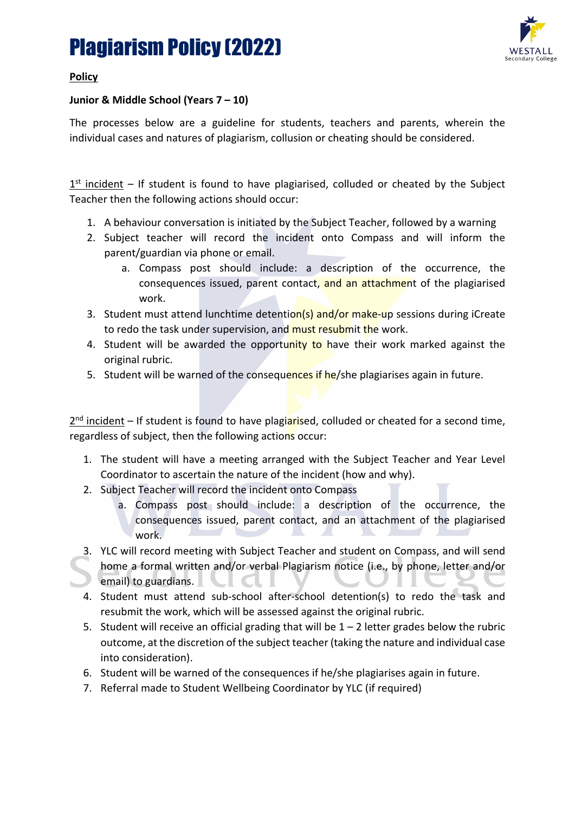

### **Policy**

### **Junior & Middle School (Years 7 – 10)**

The processes below are a guideline for students, teachers and parents, wherein the individual cases and natures of plagiarism, collusion or cheating should be considered.

 $1<sup>st</sup>$  incident – If student is found to have plagiarised, colluded or cheated by the Subject Teacher then the following actions should occur:

- 1. A behaviour conversation is initiated by the Subject Teacher, followed by a warning
- 2. Subject teacher will record the incident onto Compass and will inform the parent/guardian via phone or email.
	- a. Compass post should include: a description of the occurrence, the consequences issued, parent contact, and an attachment of the plagiarised work.
- 3. Student must attend lunchtime detention(s) and/or make-up sessions during iCreate to redo the task under supervision, and must resubmit the work.
- 4. Student will be awarded the opportunity to have their work marked against the original rubric.
- 5. Student will be warned of the consequences if he/she plagiarises again in future.

 $2<sup>nd</sup>$  incident – If student is found to have plagiarised, colluded or cheated for a second time, regardless of subject, then the following actions occur:

- 1. The student will have a meeting arranged with the Subject Teacher and Year Level Coordinator to ascertain the nature of the incident (how and why).
- 2. Subject Teacher will record the incident onto Compass
	- a. Compass post should include: a description of the occurrence, the consequences issued, parent contact, and an attachment of the plagiarised work.
- 3. YLC will record meeting with Subject Teacher and student on Compass, and will send home a formal written and/or verbal Plagiarism notice (i.e., by phone, letter and/or email) to guardians.
- 4. Student must attend sub-school after-school detention(s) to redo the task and resubmit the work, which will be assessed against the original rubric.
- 5. Student will receive an official grading that will be  $1 2$  letter grades below the rubric outcome, at the discretion of the subject teacher (taking the nature and individual case into consideration).
- 6. Student will be warned of the consequences if he/she plagiarises again in future.
- 7. Referral made to Student Wellbeing Coordinator by YLC (if required)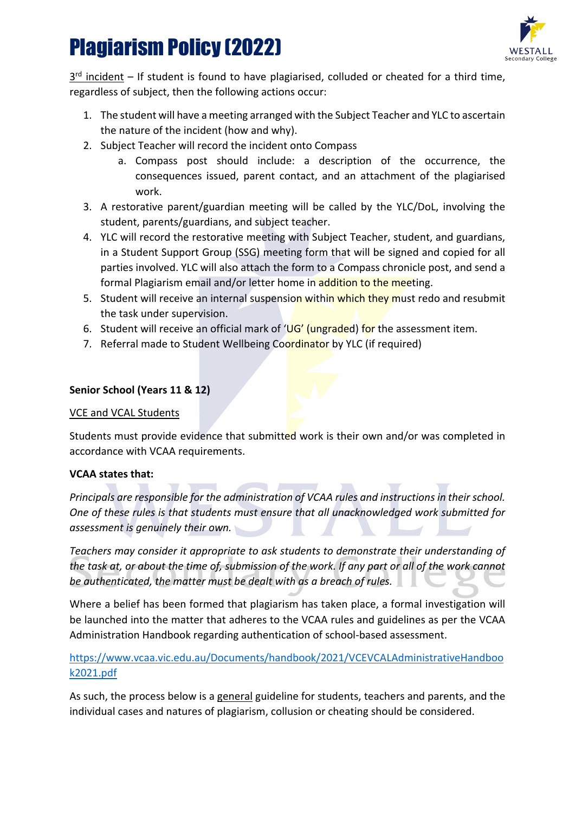

 $3<sup>rd</sup>$  incident – If student is found to have plagiarised, colluded or cheated for a third time, regardless of subject, then the following actions occur:

- 1. The student will have a meeting arranged with the Subject Teacher and YLC to ascertain the nature of the incident (how and why).
- 2. Subject Teacher will record the incident onto Compass
	- a. Compass post should include: a description of the occurrence, the consequences issued, parent contact, and an attachment of the plagiarised work.
- 3. A restorative parent/guardian meeting will be called by the YLC/DoL, involving the student, parents/guardians, and subject teacher.
- 4. YLC will record the restorative meeting with Subject Teacher, student, and guardians, in a Student Support Group (SSG) meeting form that will be signed and copied for all parties involved. YLC will also attach the form to a Compass chronicle post, and send a formal Plagiarism email and/or letter home in addition to the meeting.
- 5. Student will receive an internal suspension within which they must redo and resubmit the task under supervision.
- 6. Student will receive an official mark of  $'UG'$  (ungraded) for the assessment item.
- 7. Referral made to Student Wellbeing Coordinator by YLC (if required)

### **Senior School (Years 11 & 12)**

### VCE and VCAL Students

Students must provide evidence that submitted work is their own and/or was completed in accordance with VCAA requirements.

### **VCAA states that:**

*Principals are responsible for the administration of VCAA rules and instructions in their school. One of these rules is that students must ensure that all unacknowledged work submitted for assessment is genuinely their own.*

*Teachers may consider it appropriate to ask students to demonstrate their understanding of the task at, or about the time of, submission of the work. If any part or all of the work cannot be authenticated, the matter must be dealt with as a breach of rules.*

Where a belief has been formed that plagiarism has taken place, a formal investigation will be launched into the matter that adheres to the VCAA rules and guidelines as per the VCAA Administration Handbook regarding authentication of school-based assessment.

[https://www.vcaa.vic.edu.au/Documents/handbook/2021/VCEVCALAdministrativeHandboo](https://www.vcaa.vic.edu.au/Documents/handbook/2021/VCEVCALAdministrativeHandbook2021.pdf) [k2021.pdf](https://www.vcaa.vic.edu.au/Documents/handbook/2021/VCEVCALAdministrativeHandbook2021.pdf)

As such, the process below is a general guideline for students, teachers and parents, and the individual cases and natures of plagiarism, collusion or cheating should be considered.